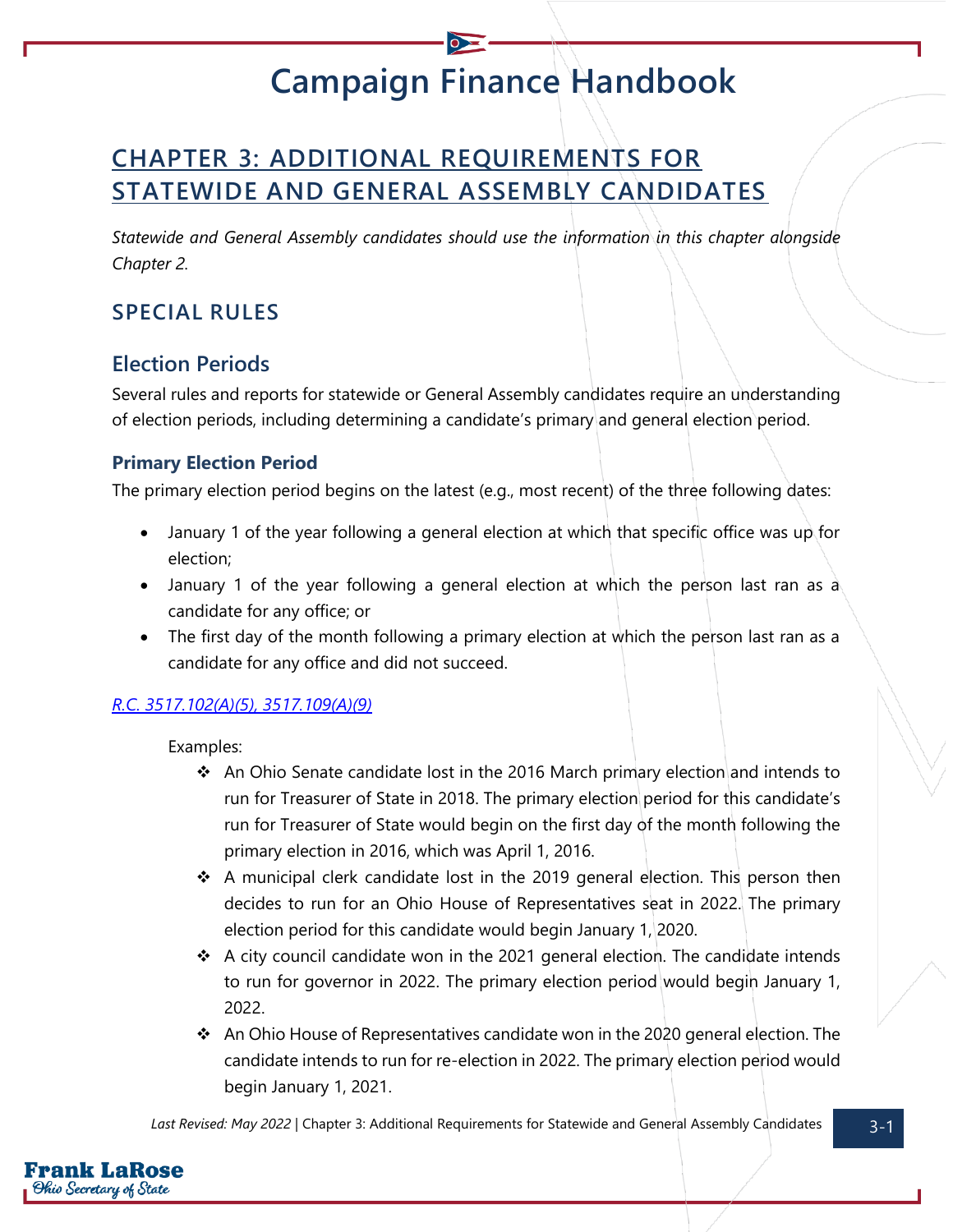# **Campaign Finance Handbook**

# **CHAPTER 3: ADDITIONAL REQUIREMENTS FOR STATEWIDE AND GENERAL ASSEMBLY CANDIDATES**

*Statewide and General Assembly candidates should use the information in this chapter alongside Chapter 2.*

## **SPECIAL RULES**

### **Election Periods**

Several rules and reports for statewide or General Assembly candidates require an understanding of election periods, including determining a candidate's primary and general election period.

### **Primary Election Period**

The primary election period begins on the latest (e.g., most recent) of the three following dates:

- January 1 of the year following a general election at which that specific office was up for election;
- January 1 of the year following a general election at which the person last ran as a candidate for any office; or
- The first day of the month following a primary election at which the person last ran as a candidate for any office and did not succeed.

### *[R.C. 3517.102\(A\)\(5\),](https://codes.ohio.gov/ohio-revised-code/section-3517.102) [3517.109\(A\)\(9\)](https://codes.ohio.gov/ohio-revised-code/section-3517.109)*

Examples:

- ❖ An Ohio Senate candidate lost in the 2016 March primary election and intends to run for Treasurer of State in 2018. The primary election period for this candidate's run for Treasurer of State would begin on the first day of the month following the primary election in 2016, which was April 1, 2016.
- ❖ A municipal clerk candidate lost in the 2019 general election. This person then decides to run for an Ohio House of Representatives seat in 2022. The primary election period for this candidate would begin January 1, 2020.
- $\div$  A city council candidate won in the 2021 general election. The candidate intends to run for governor in 2022. The primary election period would begin January 1, 2022.
- ❖ An Ohio House of Representatives candidate won in the 2020 general election. The candidate intends to run for re-election in 2022. The primary election period would begin January 1, 2021.

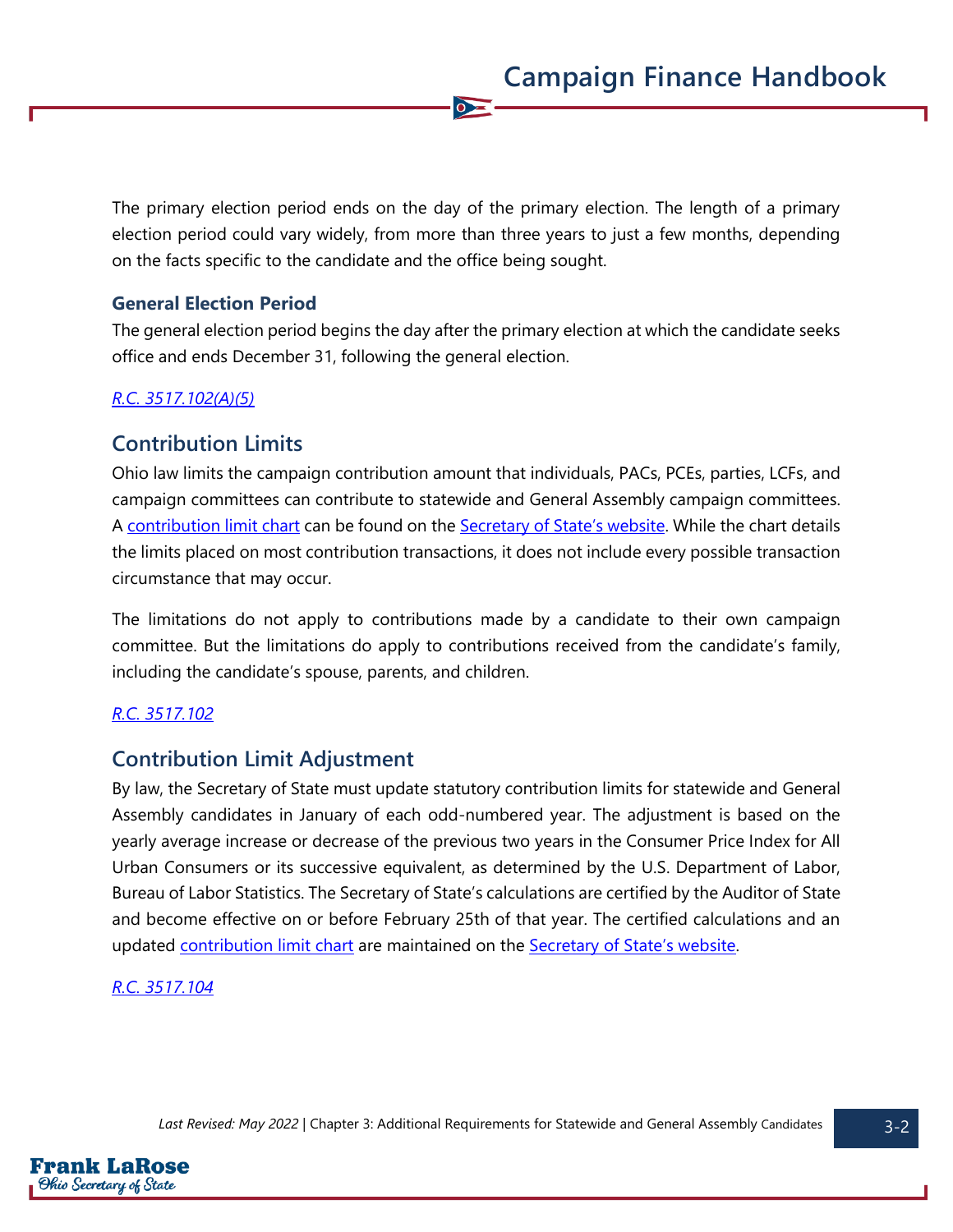The primary election period ends on the day of the primary election. The length of a primary election period could vary widely, from more than three years to just a few months, depending on the facts specific to the candidate and the office being sought.

 $\bullet$ 

#### **General Election Period**

The general election period begins the day after the primary election at which the candidate seeks office and ends December 31, following the general election.

### *[R.C. 3517.102\(A\)\(5\)](https://codes.ohio.gov/ohio-revised-code/section-3517.102)*

### **Contribution Limits**

Ohio law limits the campaign contribution amount that individuals, PACs, PCEs, parties, LCFs, and campaign committees can contribute to statewide and General Assembly campaign committees. A [contribution limit chart](https://www.ohiosos.gov/campaign-finance/contribution-limits/) can be found on the [Secretary of State's website](https://www.ohiosos.gov/campaign-finance/contribution-limits/). While the chart details the limits placed on most contribution transactions, it does not include every possible transaction circumstance that may occur.

The limitations do not apply to contributions made by a candidate to their own campaign committee. But the limitations do apply to contributions received from the candidate's family, including the candidate's spouse, parents, and children.

#### *[R.C. 3517.102](https://codes.ohio.gov/ohio-revised-code/section-3517.102)*

### **Contribution Limit Adjustment**

By law, the Secretary of State must update statutory contribution limits for statewide and General Assembly candidates in January of each odd-numbered year. The adjustment is based on the yearly average increase or decrease of the previous two years in the Consumer Price Index for All Urban Consumers or its successive equivalent, as determined by the U.S. Department of Labor, Bureau of Labor Statistics. The Secretary of State's calculations are certified by the Auditor of State and become effective on or before February 25th of that year. The certified calculations and an updated [contribution limit chart](https://www.ohiosos.gov/campaign-finance/contribution-limits/) are maintained on the [Secretary of State's website](https://www.ohiosos.gov/campaign-finance/contribution-limits/).

### *[R.C. 3517.104](https://codes.ohio.gov/ohio-revised-code/section-3517.104)*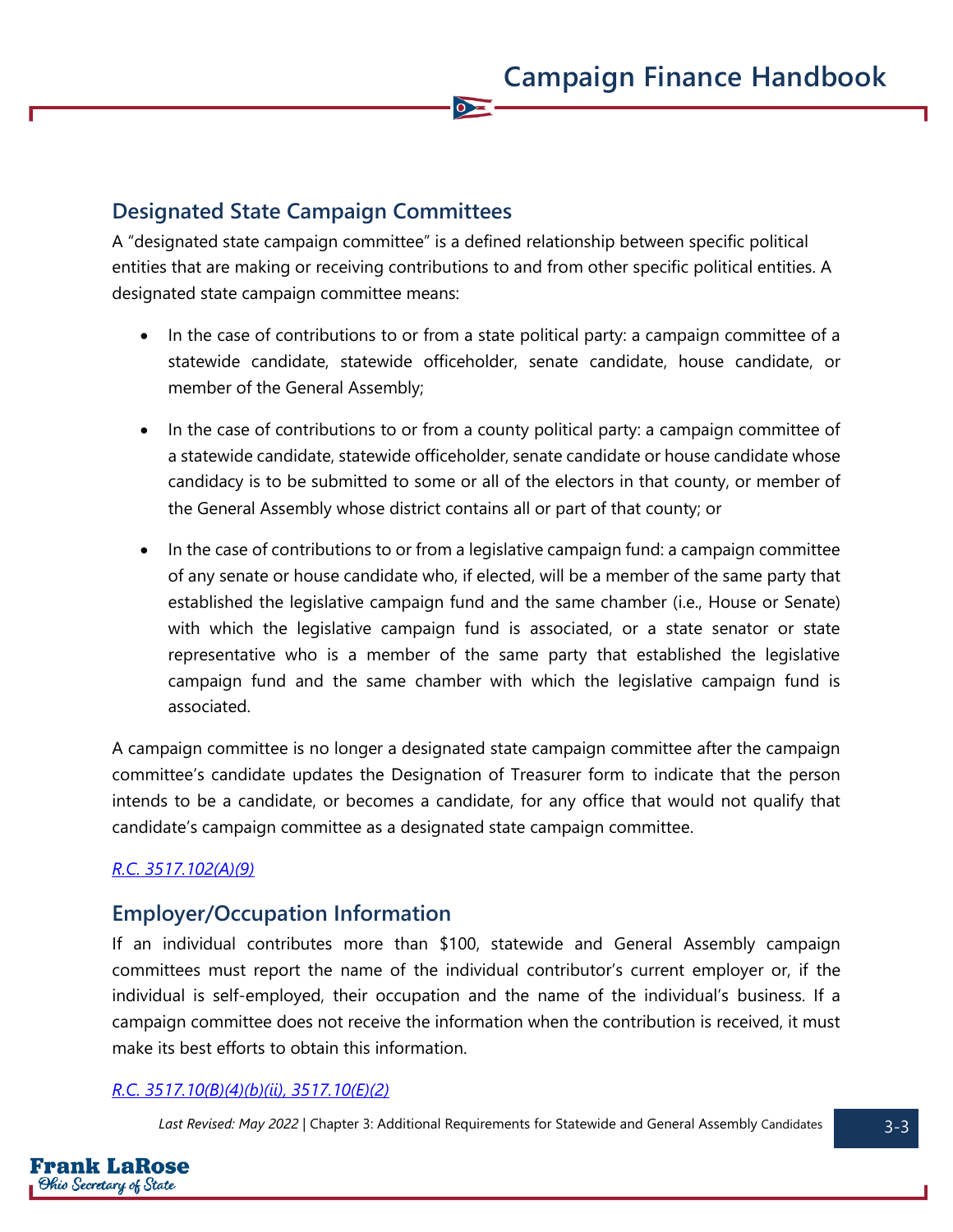### **Designated State Campaign Committees**

A "designated state campaign committee" is a defined relationship between specific political entities that are making or receiving contributions to and from other specific political entities. A designated state campaign committee means:

 $\bullet$ 

- In the case of contributions to or from a state political party: a campaign committee of a statewide candidate, statewide officeholder, senate candidate, house candidate, or member of the General Assembly;
- In the case of contributions to or from a county political party: a campaign committee of a statewide candidate, statewide officeholder, senate candidate or house candidate whose candidacy is to be submitted to some or all of the electors in that county, or member of the General Assembly whose district contains all or part of that county; or
- In the case of contributions to or from a legislative campaign fund: a campaign committee of any senate or house candidate who, if elected, will be a member of the same party that established the legislative campaign fund and the same chamber (i.e., House or Senate) with which the legislative campaign fund is associated, or a state senator or state representative who is a member of the same party that established the legislative campaign fund and the same chamber with which the legislative campaign fund is associated.

A campaign committee is no longer a designated state campaign committee after the campaign committee's candidate updates the Designation of Treasurer form to indicate that the person intends to be a candidate, or becomes a candidate, for any office that would not qualify that candidate's campaign committee as a designated state campaign committee.

### *[R.C. 3517.102\(A\)\(9\)](https://codes.ohio.gov/ohio-revised-code/section-3517.102)*

### **Employer/Occupation Information**

If an individual contributes more than \$100, statewide and General Assembly campaign committees must report the name of the individual contributor's current employer or, if the individual is self-employed, their occupation and the name of the individual's business. If a campaign committee does not receive the information when the contribution is received, it must make its best efforts to obtain this information.

#### *[R.C. 3517.10\(B\)\(4\)\(b\)\(ii\), 3517.10\(E\)\(2\)](https://codes.ohio.gov/ohio-revised-code/section-3517.10)*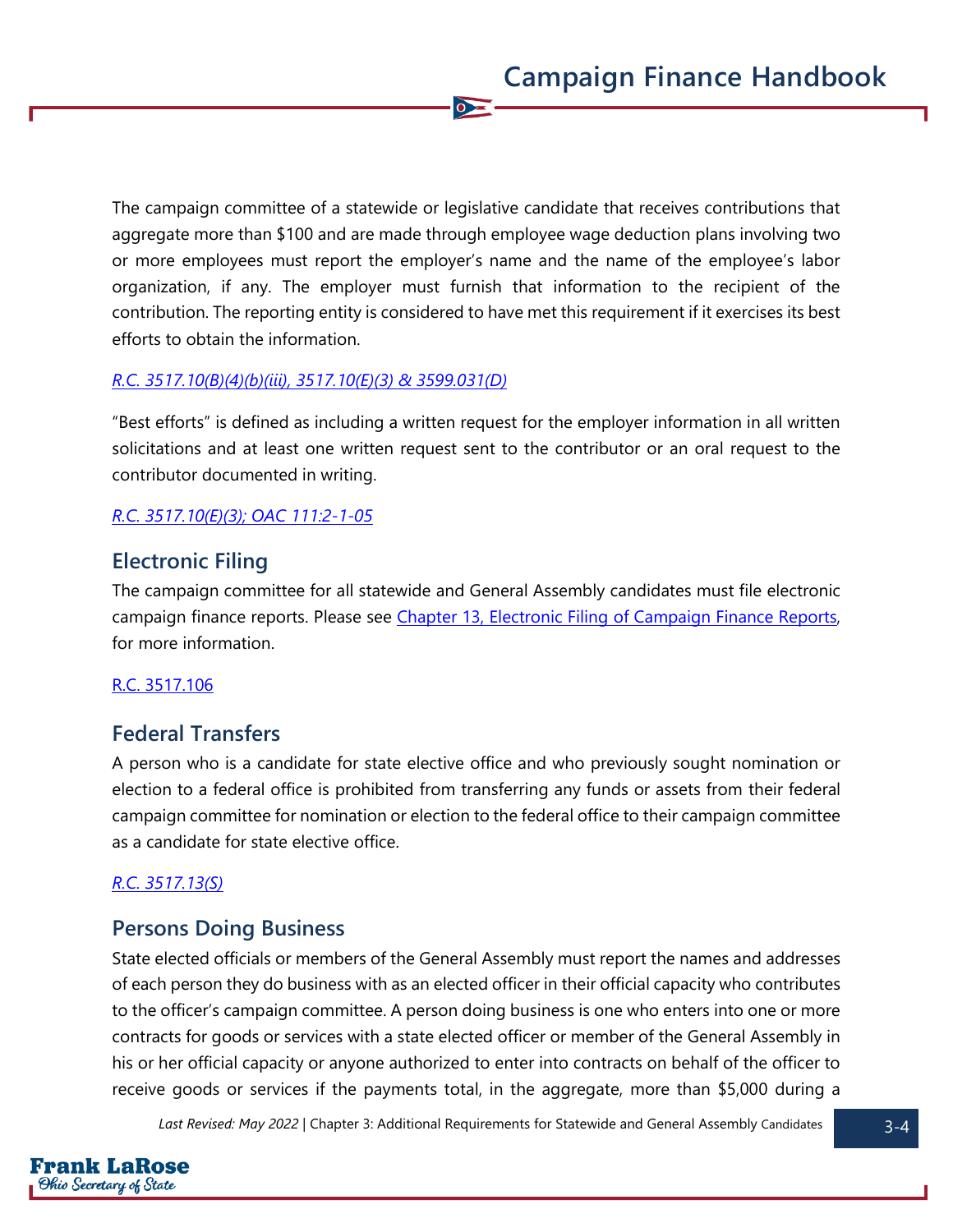The campaign committee of a statewide or legislative candidate that receives contributions that aggregate more than \$100 and are made through employee wage deduction plans involving two or more employees must report the employer's name and the name of the employee's labor organization, if any. The employer must furnish that information to the recipient of the contribution. The reporting entity is considered to have met this requirement if it exercises its best efforts to obtain the information.

 $\bullet$ 

#### *[R.C. 3517.10\(B\)\(4\)\(b\)\(iii\),](https://codes.ohio.gov/ohio-revised-code/section-3517.102) [3517.10\(E\)\(3\)](https://codes.ohio.gov/ohio-revised-code/section-3517.10) & [3599.031\(D\)](https://codes.ohio.gov/ohio-revised-code/section-3599.031)*

"Best efforts" is defined as including a written request for the employer information in all written solicitations and at least one written request sent to the contributor or an oral request to the contributor documented in writing.

#### *[R.C. 3517.10\(E\)\(3\);](https://codes.ohio.gov/ohio-revised-code/section-3517.10) [OAC 111:2-1-05](https://codes.ohio.gov/ohio-administrative-code/rule-111:2-1-05)*

### **Electronic Filing**

The campaign committee for all statewide and General Assembly candidates must file electronic campaign finance reports. Please see [Chapter 13, Electronic Filing of Campaign Finance Reports,](https://www.ohiosos.gov/globalassets/candidates/cfguide/chapters/chapter13.pdf) for more information.

#### [R.C. 3517.106](https://codes.ohio.gov/ohio-revised-code/section-3517.106)

### **Federal Transfers**

A person who is a candidate for state elective office and who previously sought nomination or election to a federal office is prohibited from transferring any funds or assets from their federal campaign committee for nomination or election to the federal office to their campaign committee as a candidate for state elective office.

#### *[R.C. 3517.13\(S\)](https://codes.ohio.gov/ohio-revised-code/section-3517.13)*

### **Persons Doing Business**

State elected officials or members of the General Assembly must report the names and addresses of each person they do business with as an elected officer in their official capacity who contributes to the officer's campaign committee. A person doing business is one who enters into one or more contracts for goods or services with a state elected officer or member of the General Assembly in his or her official capacity or anyone authorized to enter into contracts on behalf of the officer to receive goods or services if the payments total, in the aggregate, more than \$5,000 during a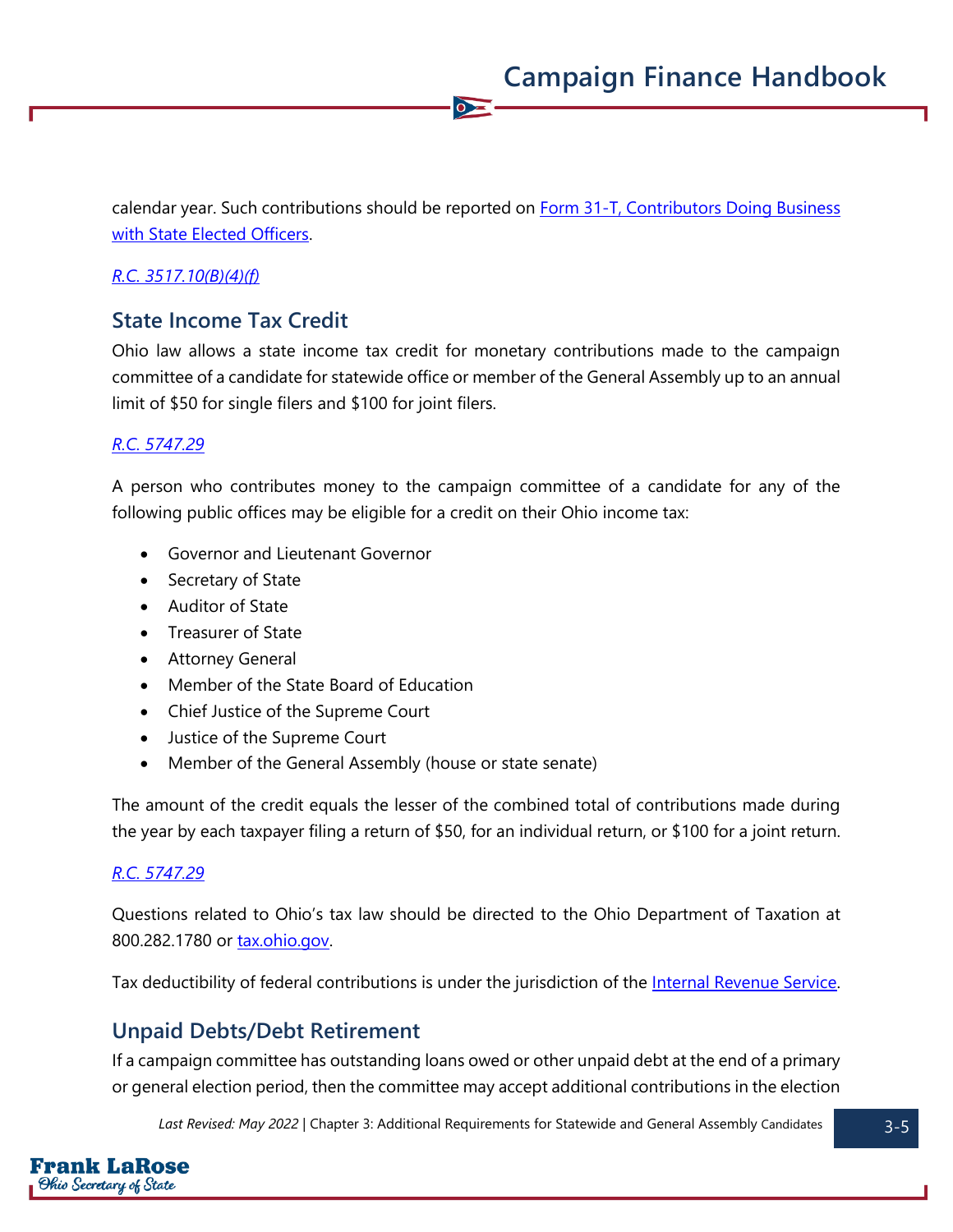calendar year. Such contributions should be reported on **Form 31-T, Contributors Doing Business** [with State Elected Officers.](https://www.ohiosos.gov/globalassets/candidates/forms/31t.pdf) 

 $\bullet$ 

### *[R.C. 3517.10\(B\)\(4\)\(f\)](https://codes.ohio.gov/ohio-revised-code/section-3517.10)*

### **State Income Tax Credit**

Ohio law allows a state income tax credit for monetary contributions made to the campaign committee of a candidate for statewide office or member of the General Assembly up to an annual limit of \$50 for single filers and \$100 for joint filers.

### *[R.C. 5747.29](https://codes.ohio.gov/ohio-revised-code/section-5747.29)*

A person who contributes money to the campaign committee of a candidate for any of the following public offices may be eligible for a credit on their Ohio income tax:

- Governor and Lieutenant Governor
- Secretary of State
- Auditor of State
- Treasurer of State
- Attorney General
- Member of the State Board of Education
- Chief Justice of the Supreme Court
- Justice of the Supreme Court
- Member of the General Assembly (house or state senate)

The amount of the credit equals the lesser of the combined total of contributions made during the year by each taxpayer filing a return of \$50, for an individual return, or \$100 for a joint return.

#### *[R.C. 5747.29](https://codes.ohio.gov/ohio-revised-code/section-5747.29)*

Questions related to Ohio's tax law should be directed to the Ohio Department of Taxation at 800.282.1780 or **tax.ohio.gov.** 

Tax deductibility of federal contributions is under the jurisdiction of the [Internal Revenue Service.](https://www.irs.gov/)

### **Unpaid Debts/Debt Retirement**

If a campaign committee has outstanding loans owed or other unpaid debt at the end of a primary or general election period, then the committee may accept additional contributions in the election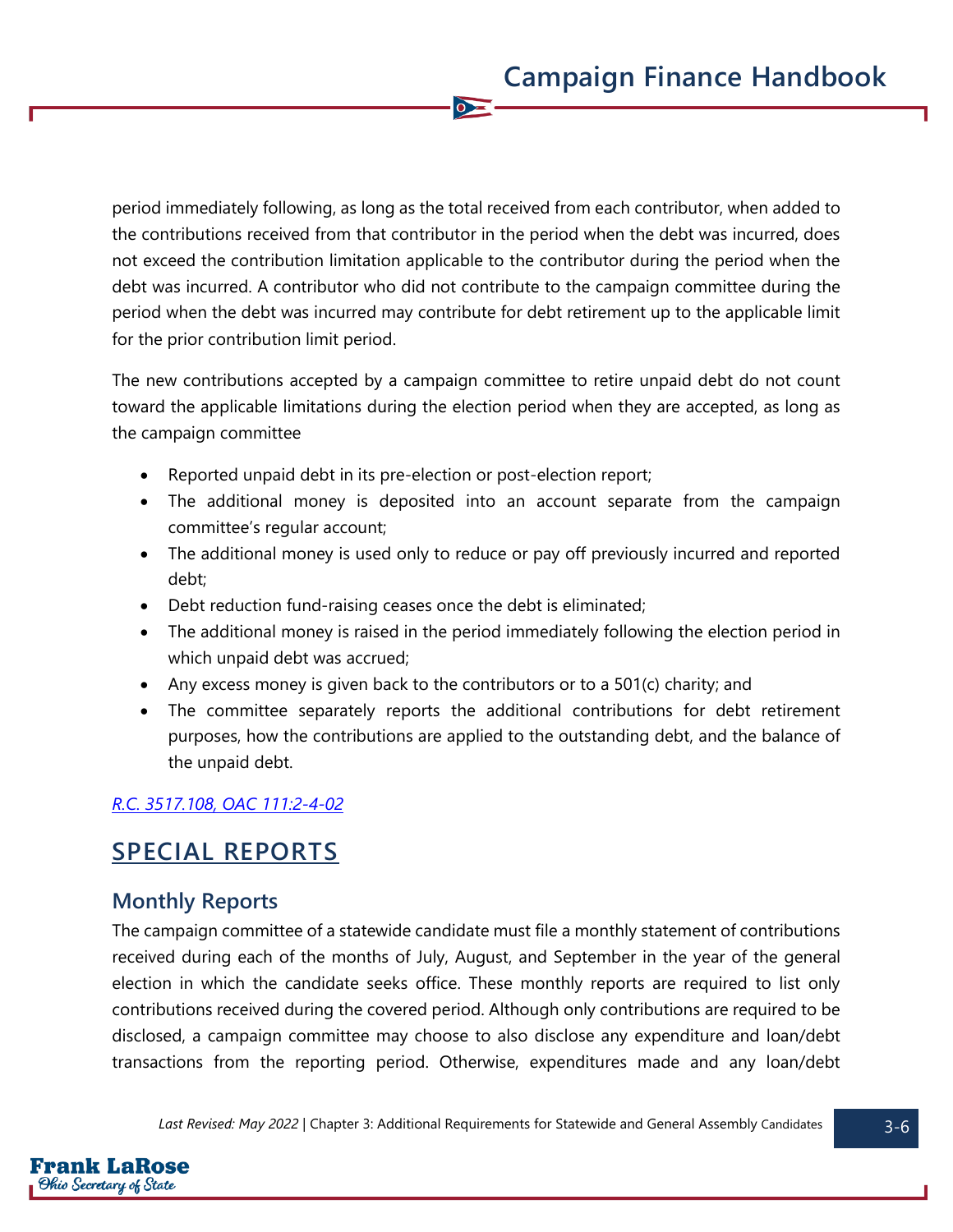period immediately following, as long as the total received from each contributor, when added to the contributions received from that contributor in the period when the debt was incurred, does not exceed the contribution limitation applicable to the contributor during the period when the debt was incurred. A contributor who did not contribute to the campaign committee during the period when the debt was incurred may contribute for debt retirement up to the applicable limit for the prior contribution limit period.

 $\bullet$ 

The new contributions accepted by a campaign committee to retire unpaid debt do not count toward the applicable limitations during the election period when they are accepted, as long as the campaign committee

- Reported unpaid debt in its pre-election or post-election report;
- The additional money is deposited into an account separate from the campaign committee's regular account;
- The additional money is used only to reduce or pay off previously incurred and reported debt;
- Debt reduction fund-raising ceases once the debt is eliminated;
- The additional money is raised in the period immediately following the election period in which unpaid debt was accrued;
- Any excess money is given back to the contributors or to a  $501(c)$  charity; and
- The committee separately reports the additional contributions for debt retirement purposes, how the contributions are applied to the outstanding debt, and the balance of the unpaid debt.

### *[R.C. 3517.108,](https://codes.ohio.gov/ohio-revised-code/section-3517.108) [OAC 111:2-4-02](https://codes.ohio.gov/ohio-administrative-code/rule-111:2-4-02)*

# **SPECIAL REPORTS**

### **Monthly Reports**

The campaign committee of a statewide candidate must file a monthly statement of contributions received during each of the months of July, August, and September in the year of the general election in which the candidate seeks office. These monthly reports are required to list only contributions received during the covered period. Although only contributions are required to be disclosed, a campaign committee may choose to also disclose any expenditure and loan/debt transactions from the reporting period. Otherwise, expenditures made and any loan/debt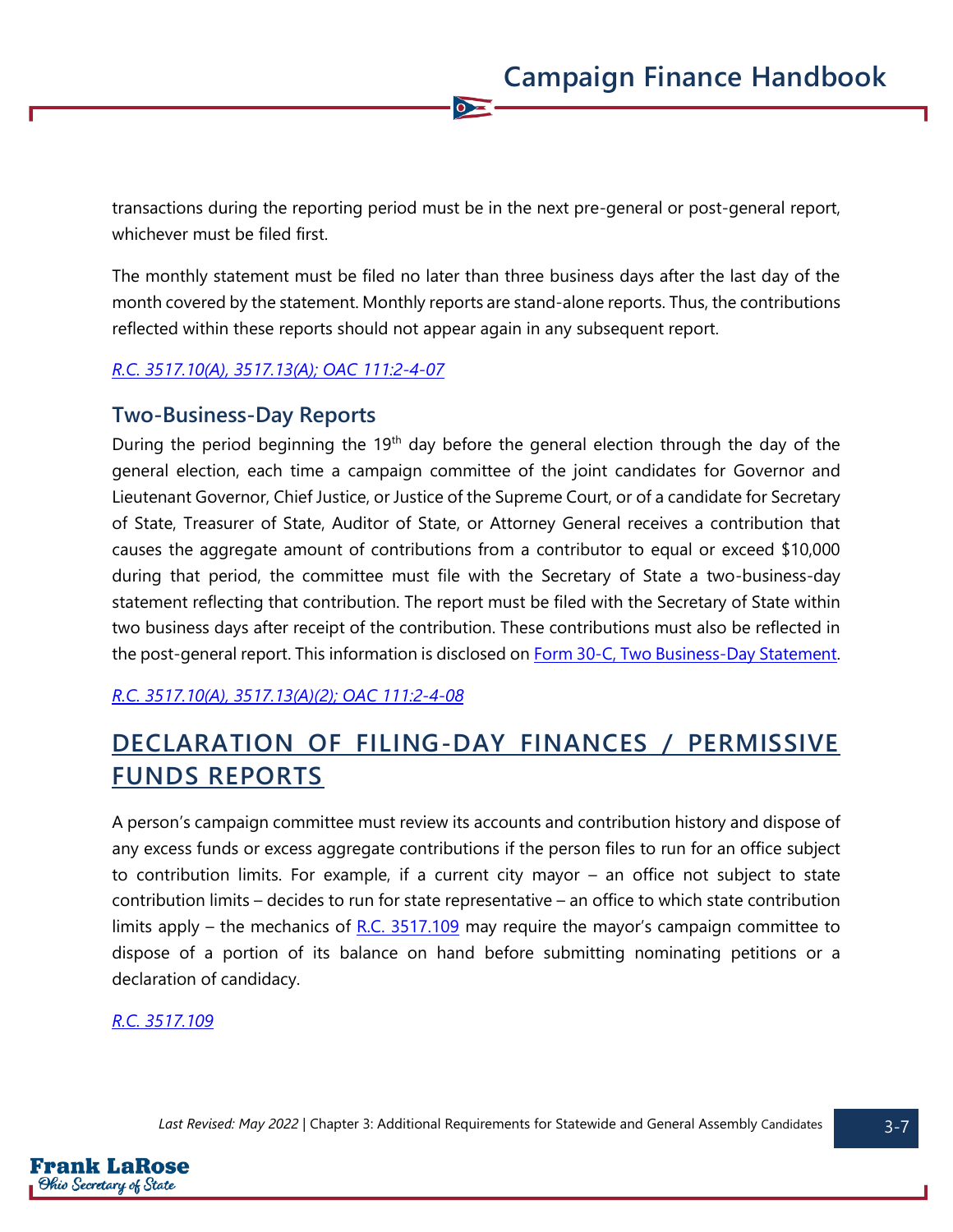transactions during the reporting period must be in the next pre-general or post-general report, whichever must be filed first.

 $\bullet$ 

The monthly statement must be filed no later than three business days after the last day of the month covered by the statement. Monthly reports are stand-alone reports. Thus, the contributions reflected within these reports should not appear again in any subsequent report.

#### *[R.C. 3517.10\(A\),](https://codes.ohio.gov/ohio-revised-code/section-3517.10) [3517.13\(A\);](https://codes.ohio.gov/ohio-revised-code/section-3517.13) [OAC 111:2-4-07](https://codes.ohio.gov/ohio-administrative-code/rule-111:2-4-07)*

### **Two-Business-Day Reports**

During the period beginning the  $19<sup>th</sup>$  day before the general election through the day of the general election, each time a campaign committee of the joint candidates for Governor and Lieutenant Governor, Chief Justice, or Justice of the Supreme Court, or of a candidate for Secretary of State, Treasurer of State, Auditor of State, or Attorney General receives a contribution that causes the aggregate amount of contributions from a contributor to equal or exceed \$10,000 during that period, the committee must file with the Secretary of State a two-business-day statement reflecting that contribution. The report must be filed with the Secretary of State within two business days after receipt of the contribution. These contributions must also be reflected in the post-general report. This information is disclosed on [Form 30-C, Two Business-Day Statement.](https://www.ohiosos.gov/globalassets/candidates/forms/30c.pdf)

#### *[R.C. 3517.10\(A\),](https://codes.ohio.gov/ohio-revised-code/section-3517.10) [3517.13\(A\)\(2\);](https://codes.ohio.gov/ohio-revised-code/section-3517.13) [OAC 111:2-4-08](https://codes.ohio.gov/ohio-administrative-code/rule-111:2-4-08)*

# **DECLARATION OF FILING-DAY FINANCES / PERMISSIVE FUNDS REPORTS**

A person's campaign committee must review its accounts and contribution history and dispose of any excess funds or excess aggregate contributions if the person files to run for an office subject to contribution limits. For example, if a current city mayor – an office not subject to state contribution limits – decides to run for state representative – an office to which state contribution limits apply – the mechanics of  $R.C. 3517.109$  may require the mayor's campaign committee to dispose of a portion of its balance on hand before submitting nominating petitions or a declaration of candidacy.

#### *[R.C. 3517.109](https://codes.ohio.gov/ohio-revised-code/section-3517.109)*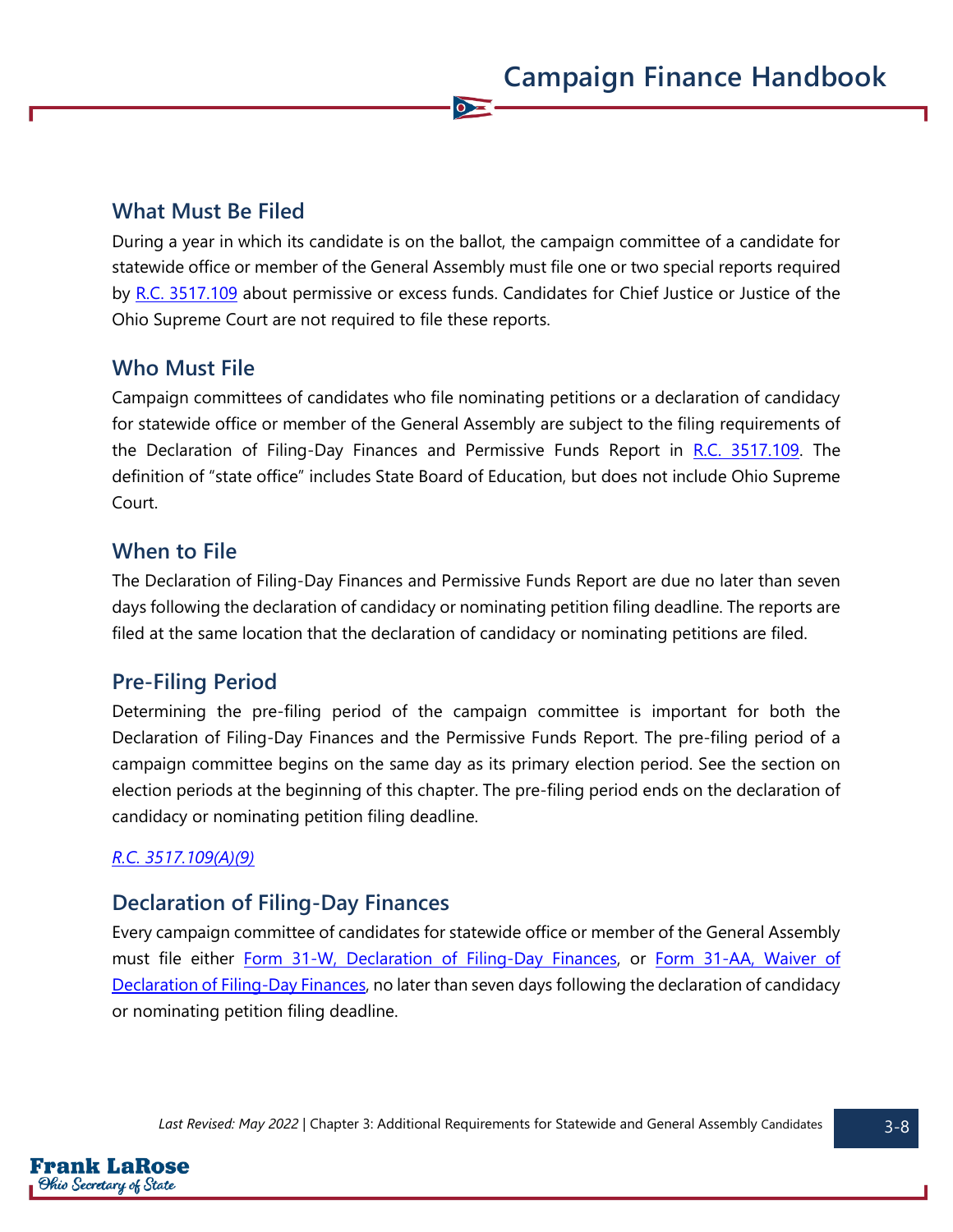### **What Must Be Filed**

During a year in which its candidate is on the ballot, the campaign committee of a candidate for statewide office or member of the General Assembly must file one or two special reports required by [R.C. 3517.109](https://codes.ohio.gov/ohio-revised-code/section-3517.109) about permissive or excess funds. Candidates for Chief Justice or Justice of the Ohio Supreme Court are not required to file these reports.

 $\overline{\bullet}$ 

### **Who Must File**

Campaign committees of candidates who file nominating petitions or a declaration of candidacy for statewide office or member of the General Assembly are subject to the filing requirements of the Declaration of Filing-Day Finances and Permissive Funds Report in [R.C. 3517.109.](https://codes.ohio.gov/ohio-revised-code/section-3517.109) The definition of "state office" includes State Board of Education, but does not include Ohio Supreme Court.

### **When to File**

The Declaration of Filing-Day Finances and Permissive Funds Report are due no later than seven days following the declaration of candidacy or nominating petition filing deadline. The reports are filed at the same location that the declaration of candidacy or nominating petitions are filed.

### **Pre-Filing Period**

Determining the pre-filing period of the campaign committee is important for both the Declaration of Filing-Day Finances and the Permissive Funds Report. The pre-filing period of a campaign committee begins on the same day as its primary election period. See the section on election periods at the beginning of this chapter. The pre-filing period ends on the declaration of candidacy or nominating petition filing deadline.

### *[R.C. 3517.109\(A\)\(9\)](https://codes.ohio.gov/ohio-revised-code/section-3517.109)*

### **Declaration of Filing-Day Finances**

Every campaign committee of candidates for statewide office or member of the General Assembly must file either [Form 31-W, Declaration of Filing-Day Finances,](https://www.ohiosos.gov/globalassets/candidates/forms/31w.pdf) or [Form 31-AA, Waiver of](https://www.ohiosos.gov/globalassets/candidates/forms/31aa.pdf)  [Declaration of Filing-Day Finances,](https://www.ohiosos.gov/globalassets/candidates/forms/31aa.pdf) no later than seven days following the declaration of candidacy or nominating petition filing deadline.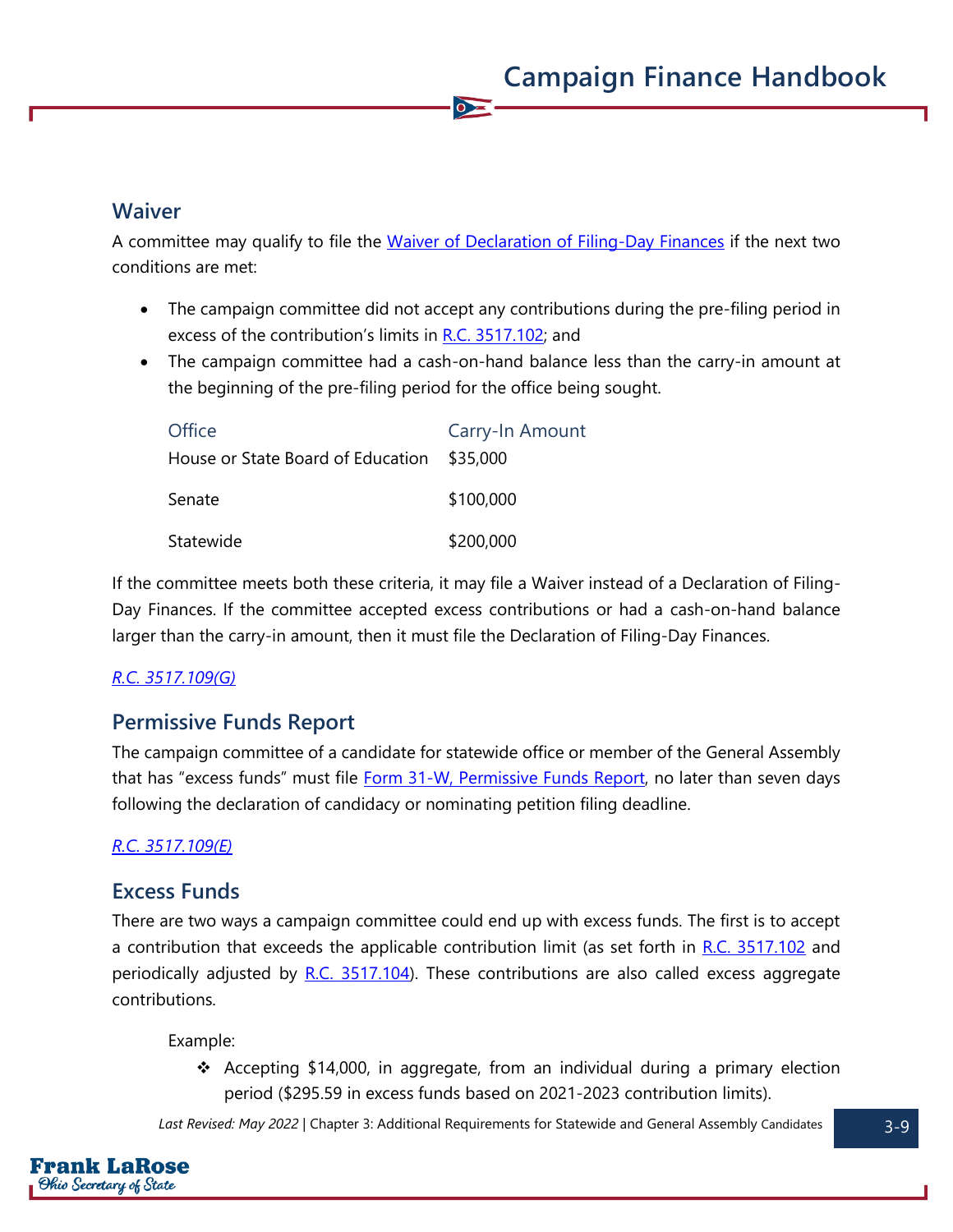### **Waiver**

A committee may qualify to file the [Waiver of Declaration of Filing-Day Finances](https://www.ohiosos.gov/globalassets/candidates/forms/31aa.pdf) if the next two conditions are met:

 $\overline{\bullet}$ 

- The campaign committee did not accept any contributions during the pre-filing period in excess of the contribution's limits in [R.C. 3517.102;](https://codes.ohio.gov/ohio-revised-code/section-3517.102) and
- The campaign committee had a cash-on-hand balance less than the carry-in amount at the beginning of the pre-filing period for the office being sought.

| Office                                     | Carry-In Amount |
|--------------------------------------------|-----------------|
| House or State Board of Education \$35,000 |                 |
| Senate                                     | \$100,000       |
| Statewide                                  | \$200,000       |

If the committee meets both these criteria, it may file a Waiver instead of a Declaration of Filing-Day Finances. If the committee accepted excess contributions or had a cash-on-hand balance larger than the carry-in amount, then it must file the Declaration of Filing-Day Finances.

#### *[R.C. 3517.109\(G\)](https://codes.ohio.gov/ohio-revised-code/section-3517.109)*

### **Permissive Funds Report**

The campaign committee of a candidate for statewide office or member of the General Assembly that has "excess funds" must file [Form 31-W, Permissive Funds Report,](https://www.ohiosos.gov/globalassets/candidates/forms/31w.pdf) no later than seven days following the declaration of candidacy or nominating petition filing deadline.

#### *[R.C. 3517.109\(E\)](https://codes.ohio.gov/ohio-revised-code/section-3517.109)*

### **Excess Funds**

There are two ways a campaign committee could end up with excess funds. The first is to accept a contribution that exceeds the applicable contribution limit (as set forth in [R.C. 3517.102](https://codes.ohio.gov/ohio-revised-code/section-3517.102) and periodically adjusted by [R.C. 3517.104\)](https://codes.ohio.gov/ohio-revised-code/section-3517.104). These contributions are also called excess aggregate contributions.

#### Example:

❖ Accepting \$14,000, in aggregate, from an individual during a primary election period (\$295.59 in excess funds based on 2021-2023 contribution limits).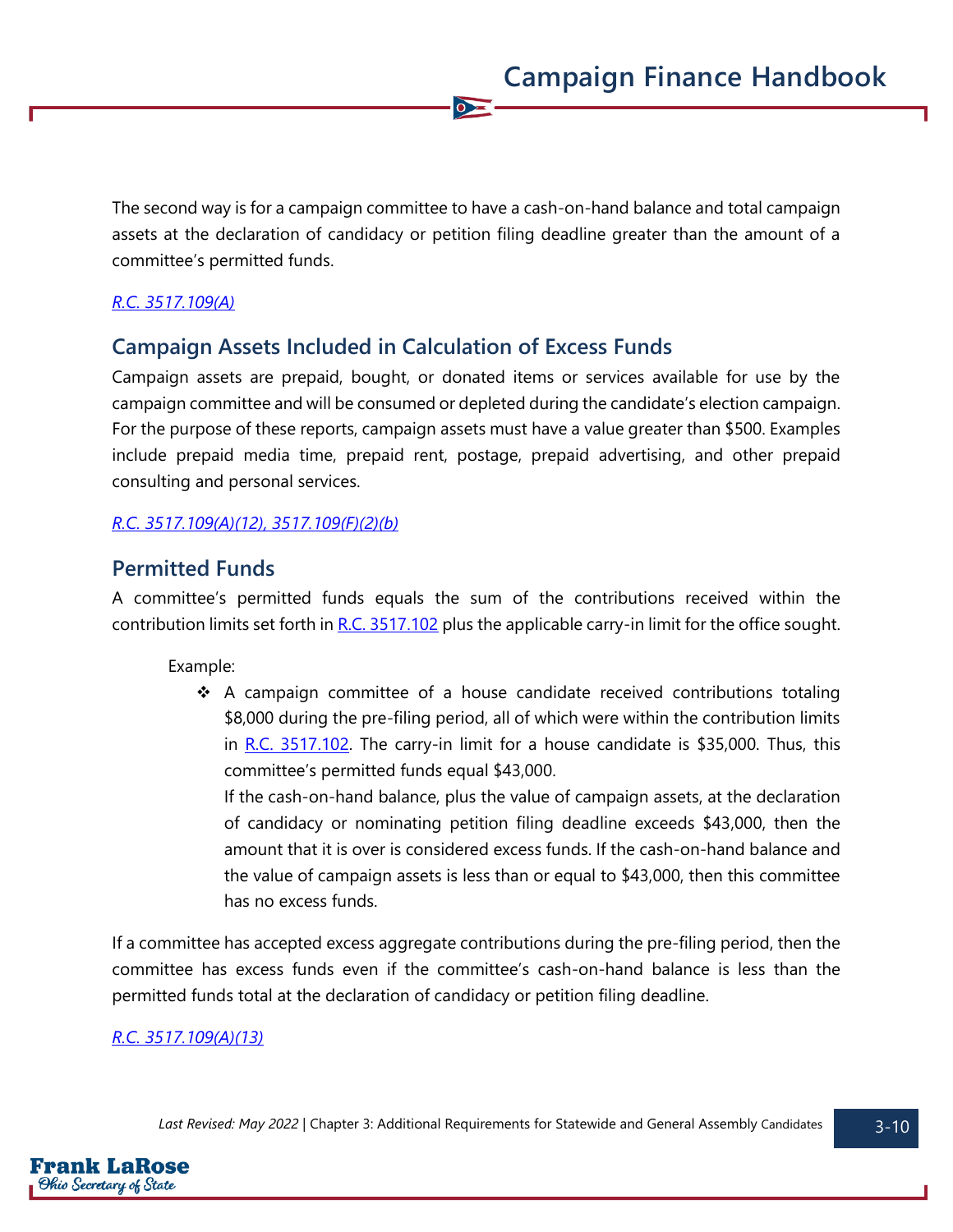The second way is for a campaign committee to have a cash-on-hand balance and total campaign assets at the declaration of candidacy or petition filing deadline greater than the amount of a committee's permitted funds.

 $\bullet$ 

#### *[R.C. 3517.109\(A\)](https://codes.ohio.gov/ohio-revised-code/section-3517.109)*

### **Campaign Assets Included in Calculation of Excess Funds**

Campaign assets are prepaid, bought, or donated items or services available for use by the campaign committee and will be consumed or depleted during the candidate's election campaign. For the purpose of these reports, campaign assets must have a value greater than \$500. Examples include prepaid media time, prepaid rent, postage, prepaid advertising, and other prepaid consulting and personal services.

#### *[R.C. 3517.109\(A\)\(12\),](https://codes.ohio.gov/ohio-revised-code/section-3517.109) [3517.109\(F\)\(2\)\(b\)](https://codes.ohio.gov/ohio-revised-code/section-3517.109)*

### **Permitted Funds**

A committee's permitted funds equals the sum of the contributions received within the contribution limits set forth in [R.C. 3517.102](https://codes.ohio.gov/ohio-revised-code/section-3517.102) plus the applicable carry-in limit for the office sought.

Example:

❖ A campaign committee of a house candidate received contributions totaling \$8,000 during the pre-filing period, all of which were within the contribution limits in R.C.  $3517.102$ . The carry-in limit for a house candidate is \$35,000. Thus, this committee's permitted funds equal \$43,000.

If the cash-on-hand balance, plus the value of campaign assets, at the declaration of candidacy or nominating petition filing deadline exceeds \$43,000, then the amount that it is over is considered excess funds. If the cash-on-hand balance and the value of campaign assets is less than or equal to \$43,000, then this committee has no excess funds.

If a committee has accepted excess aggregate contributions during the pre-filing period, then the committee has excess funds even if the committee's cash-on-hand balance is less than the permitted funds total at the declaration of candidacy or petition filing deadline.

#### *[R.C. 3517.109\(A\)\(13\)](https://codes.ohio.gov/ohio-revised-code/section-3517.109)*